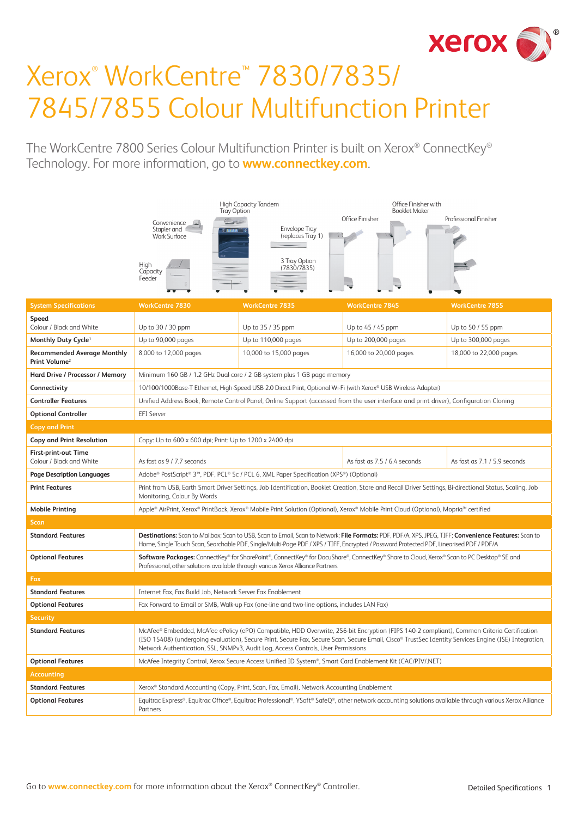

# Xerox® WorkCentre™ 7830/7835/ 7845/7855 Colour Multifunction Printer

The WorkCentre 7800 Series Colour Multifunction Printer is built on Xerox® ConnectKey® Technology. For more information, go to **www.connectkey.com**.

|                                                                 | High Capacity Tandem<br><b>Tray Option</b>                                                                                                                                                                                                                                                                                                                                               |                                                                                                                                                          | Office Finisher with<br><b>Booklet Maker</b> |                              |
|-----------------------------------------------------------------|------------------------------------------------------------------------------------------------------------------------------------------------------------------------------------------------------------------------------------------------------------------------------------------------------------------------------------------------------------------------------------------|----------------------------------------------------------------------------------------------------------------------------------------------------------|----------------------------------------------|------------------------------|
|                                                                 | Convenience<br>Stapler and<br><b>Work Surface</b>                                                                                                                                                                                                                                                                                                                                        | <b>Envelope Tray</b><br>(replaces Tray 1)                                                                                                                | Office Finisher                              | Professional Finisher        |
|                                                                 | High<br>Capacity<br>Feeder                                                                                                                                                                                                                                                                                                                                                               | 3 Tray Option<br>(7830/7835)                                                                                                                             |                                              |                              |
| <b>System Specifications</b>                                    | <b>WorkCentre 7830</b>                                                                                                                                                                                                                                                                                                                                                                   | <b>WorkCentre 7835</b>                                                                                                                                   | <b>WorkCentre 7845</b>                       | <b>WorkCentre 7855</b>       |
| Speed<br>Colour / Black and White                               | Up to 30 / 30 ppm                                                                                                                                                                                                                                                                                                                                                                        | Up to 35 / 35 ppm                                                                                                                                        | Up to 45 / 45 ppm                            | Up to 50 / 55 ppm            |
| Monthly Duty Cycle <sup>1</sup>                                 | Up to 90,000 pages                                                                                                                                                                                                                                                                                                                                                                       | Up to 110,000 pages                                                                                                                                      | Up to 200,000 pages                          | Up to 300,000 pages          |
| <b>Recommended Average Monthly</b><br>Print Volume <sup>2</sup> | 8,000 to 12,000 pages                                                                                                                                                                                                                                                                                                                                                                    | 10,000 to 15,000 pages                                                                                                                                   | 16,000 to 20,000 pages                       | 18,000 to 22,000 pages       |
| Hard Drive / Processor / Memory                                 | Minimum 160 GB / 1.2 GHz Dual-core / 2 GB system plus 1 GB page memory                                                                                                                                                                                                                                                                                                                   |                                                                                                                                                          |                                              |                              |
| Connectivity                                                    |                                                                                                                                                                                                                                                                                                                                                                                          | 10/100/1000Base-T Ethernet, High-Speed USB 2.0 Direct Print, Optional Wi-Fi (with Xerox® USB Wireless Adapter)                                           |                                              |                              |
| <b>Controller Features</b>                                      |                                                                                                                                                                                                                                                                                                                                                                                          | Unified Address Book, Remote Control Panel, Online Support (accessed from the user interface and print driver), Configuration Cloning                    |                                              |                              |
| <b>Optional Controller</b>                                      | <b>EFI</b> Server                                                                                                                                                                                                                                                                                                                                                                        |                                                                                                                                                          |                                              |                              |
| <b>Copy and Print</b>                                           |                                                                                                                                                                                                                                                                                                                                                                                          |                                                                                                                                                          |                                              |                              |
| <b>Copy and Print Resolution</b>                                | Copy: Up to 600 x 600 dpi; Print: Up to 1200 x 2400 dpi                                                                                                                                                                                                                                                                                                                                  |                                                                                                                                                          |                                              |                              |
| <b>First-print-out Time</b><br>Colour / Black and White         | As fast as 9 / 7.7 seconds                                                                                                                                                                                                                                                                                                                                                               |                                                                                                                                                          | As fast as 7.5 / 6.4 seconds                 | As fast as 7.1 / 5.9 seconds |
| <b>Page Description Languages</b>                               |                                                                                                                                                                                                                                                                                                                                                                                          | Adobe® PostScript® 3™, PDF, PCL® 5c / PCL 6, XML Paper Specification (XPS®) (Optional)                                                                   |                                              |                              |
| <b>Print Features</b>                                           | Monitoring, Colour By Words                                                                                                                                                                                                                                                                                                                                                              | Print from USB, Earth Smart Driver Settings, Job Identification, Booklet Creation, Store and Recall Driver Settings, Bi-directional Status, Scaling, Job |                                              |                              |
| <b>Mobile Printing</b>                                          |                                                                                                                                                                                                                                                                                                                                                                                          | Apple® AirPrint, Xerox® PrintBack, Xerox® Mobile Print Solution (Optional), Xerox® Mobile Print Cloud (Optional), Mopria™ certified                      |                                              |                              |
| <b>Scan</b>                                                     |                                                                                                                                                                                                                                                                                                                                                                                          |                                                                                                                                                          |                                              |                              |
| <b>Standard Features</b>                                        | Destinations: Scan to Mailbox; Scan to USB, Scan to Email, Scan to Network; File Formats: PDF, PDF/A, XPS, JPEG, TIFF; Convenience Features: Scan to<br>Home, Single Touch Scan, Searchable PDF, Single/Multi-Page PDF / XPS / TIFF, Encrypted / Password Protected PDF, Linearised PDF / PDF/A                                                                                          |                                                                                                                                                          |                                              |                              |
| <b>Optional Features</b>                                        | Software Packages: ConnectKey® for SharePoint®, ConnectKey® for DocuShare®, ConnectKey® Share to Cloud, Xerox® Scan to PC Desktop® SE and<br>Professional, other solutions available through various Xerox Alliance Partners                                                                                                                                                             |                                                                                                                                                          |                                              |                              |
| Fax                                                             |                                                                                                                                                                                                                                                                                                                                                                                          |                                                                                                                                                          |                                              |                              |
| <b>Standard Features</b>                                        | Internet Fax, Fax Build Job, Network Server Fax Enablement                                                                                                                                                                                                                                                                                                                               |                                                                                                                                                          |                                              |                              |
| <b>Optional Features</b>                                        | Fax Forward to Email or SMB, Walk-up Fax (one-line and two-line options, includes LAN Fax)                                                                                                                                                                                                                                                                                               |                                                                                                                                                          |                                              |                              |
| <b>Security</b>                                                 |                                                                                                                                                                                                                                                                                                                                                                                          |                                                                                                                                                          |                                              |                              |
| <b>Standard Features</b>                                        | McAfee® Embedded, McAfee ePolicy (ePO) Compatible, HDD Overwrite, 256-bit Encryption (FIPS 140-2 compliant), Common Criteria Certification<br>(ISO 15408) (undergoing evaluation), Secure Print, Secure Fax, Secure Scan, Secure Email, Cisco® TrustSec Identity Services Engine (ISE) Integration,<br>Network Authentication, SSL, SNMPv3, Audit Log, Access Controls, User Permissions |                                                                                                                                                          |                                              |                              |
| <b>Optional Features</b>                                        | McAfee Integrity Control, Xerox Secure Access Unified ID System®, Smart Card Enablement Kit (CAC/PIV/.NET)                                                                                                                                                                                                                                                                               |                                                                                                                                                          |                                              |                              |
| <b>Accounting</b>                                               |                                                                                                                                                                                                                                                                                                                                                                                          |                                                                                                                                                          |                                              |                              |
| <b>Standard Features</b>                                        | Xerox® Standard Accounting (Copy, Print, Scan, Fax, Email), Network Accounting Enablement                                                                                                                                                                                                                                                                                                |                                                                                                                                                          |                                              |                              |
| <b>Optional Features</b>                                        | Equitrac Express®, Equitrac Office®, Equitrac Professional®, YSoft® SafeQ®, other network accounting solutions available through various Xerox Alliance<br>Partners                                                                                                                                                                                                                      |                                                                                                                                                          |                                              |                              |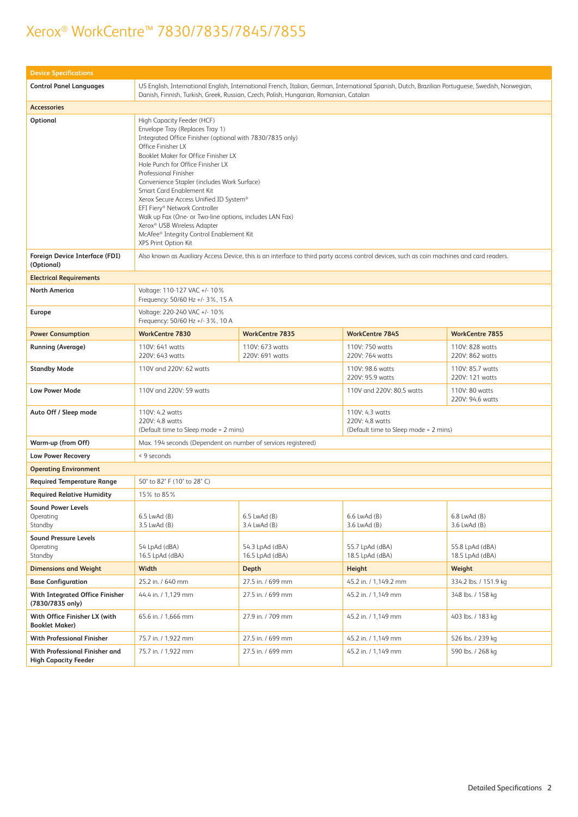| <b>Device Specifications</b>                                  |                                                                                                                                                                                                                                                                                                                                                                                                                                                                                                                                                                                                      |                                    |                                                                                                                                            |                                    |
|---------------------------------------------------------------|------------------------------------------------------------------------------------------------------------------------------------------------------------------------------------------------------------------------------------------------------------------------------------------------------------------------------------------------------------------------------------------------------------------------------------------------------------------------------------------------------------------------------------------------------------------------------------------------------|------------------------------------|--------------------------------------------------------------------------------------------------------------------------------------------|------------------------------------|
| <b>Control Panel Languages</b>                                | US English, International English, International French, Italian, German, International Spanish, Dutch, Brazilian Portuguese, Swedish, Norwegian,<br>Danish, Finnish, Turkish, Greek, Russian, Czech, Polish, Hungarian, Romanian, Catalan                                                                                                                                                                                                                                                                                                                                                           |                                    |                                                                                                                                            |                                    |
| <b>Accessories</b>                                            |                                                                                                                                                                                                                                                                                                                                                                                                                                                                                                                                                                                                      |                                    |                                                                                                                                            |                                    |
| Optional                                                      | High Capacity Feeder (HCF)<br>Envelope Tray (Replaces Tray 1)<br>Integrated Office Finisher (optional with 7830/7835 only)<br>Office Finisher LX<br>Booklet Maker for Office Finisher LX<br>Hole Punch for Office Finisher LX<br>Professional Finisher<br>Convenience Stapler (includes Work Surface)<br>Smart Card Enablement Kit<br>Xerox Secure Access Unified ID System®<br>EFI Fiery® Network Controller<br>Walk up Fax (One- or Two-line options, includes LAN Fax)<br>Xerox <sup>®</sup> USB Wireless Adapter<br>McAfee <sup>®</sup> Integrity Control Enablement Kit<br>XPS Print Option Kit |                                    |                                                                                                                                            |                                    |
| Foreign Device Interface (FDI)<br>(Optional)                  |                                                                                                                                                                                                                                                                                                                                                                                                                                                                                                                                                                                                      |                                    | Also known as Auxiliary Access Device, this is an interface to third party access control devices, such as coin machines and card readers. |                                    |
| <b>Electrical Requirements</b>                                |                                                                                                                                                                                                                                                                                                                                                                                                                                                                                                                                                                                                      |                                    |                                                                                                                                            |                                    |
| <b>North America</b>                                          | Voltage: 110-127 VAC +/- 10%<br>Frequency: 50/60 Hz +/- 3%, 15 A                                                                                                                                                                                                                                                                                                                                                                                                                                                                                                                                     |                                    |                                                                                                                                            |                                    |
| Europe                                                        | Voltage: 220-240 VAC +/- 10%<br>Frequency: 50/60 Hz +/- 3%, 10 A                                                                                                                                                                                                                                                                                                                                                                                                                                                                                                                                     |                                    |                                                                                                                                            |                                    |
| <b>Power Consumption</b>                                      | <b>WorkCentre 7830</b>                                                                                                                                                                                                                                                                                                                                                                                                                                                                                                                                                                               | <b>WorkCentre 7835</b>             | <b>WorkCentre 7845</b>                                                                                                                     | <b>WorkCentre 7855</b>             |
| <b>Running (Average)</b>                                      | 110V: 641 watts<br>220V: 643 watts                                                                                                                                                                                                                                                                                                                                                                                                                                                                                                                                                                   | 110V: 673 watts<br>220V: 691 watts | 110V: 750 watts<br>220V: 764 watts                                                                                                         | 110V: 828 watts<br>220V: 862 watts |
| <b>Standby Mode</b>                                           | 110V and 220V: 62 watts<br>110V: 98.6 watts<br>110V: 85.7 watts<br>220V: 95.9 watts<br>220V: 121 watts                                                                                                                                                                                                                                                                                                                                                                                                                                                                                               |                                    |                                                                                                                                            |                                    |
| Low Power Mode                                                | 110V and 220V: 59 watts<br>110V and 220V: 80.5 watts<br>110V: 80 watts<br>220V: 94.6 watts                                                                                                                                                                                                                                                                                                                                                                                                                                                                                                           |                                    |                                                                                                                                            |                                    |
| Auto Off / Sleep mode                                         | 110V: 4.3 watts<br>110V: 4.2 watts<br>220V: 4.8 watts<br>220V: 4.8 watts<br>(Default time to Sleep mode = 2 mins)<br>(Default time to Sleep mode = 2 mins)                                                                                                                                                                                                                                                                                                                                                                                                                                           |                                    |                                                                                                                                            |                                    |
| Warm-up (from Off)                                            | Max. 194 seconds (Dependent on number of services registered)                                                                                                                                                                                                                                                                                                                                                                                                                                                                                                                                        |                                    |                                                                                                                                            |                                    |
| Low Power Recovery                                            | < 9 seconds                                                                                                                                                                                                                                                                                                                                                                                                                                                                                                                                                                                          |                                    |                                                                                                                                            |                                    |
| <b>Operating Environment</b>                                  |                                                                                                                                                                                                                                                                                                                                                                                                                                                                                                                                                                                                      |                                    |                                                                                                                                            |                                    |
| <b>Required Temperature Range</b>                             | 50° to 82° F (10° to 28° C)                                                                                                                                                                                                                                                                                                                                                                                                                                                                                                                                                                          |                                    |                                                                                                                                            |                                    |
| <b>Required Relative Humidity</b>                             | 15% to 85%                                                                                                                                                                                                                                                                                                                                                                                                                                                                                                                                                                                           |                                    |                                                                                                                                            |                                    |
| <b>Sound Power Levels</b><br>Operating<br>Standby             | 6.5 LwAd (B)<br>3.5 LwAd (B)                                                                                                                                                                                                                                                                                                                                                                                                                                                                                                                                                                         | 6.5 LwAd (B)<br>3.4 LwAd (B)       | 6.6 LwAd (B)<br>3.6 LwAd (B)                                                                                                               | 6.8 LwAd (B)<br>3.6 LwAd (B)       |
| <b>Sound Pressure Levels</b><br>Operating<br>Standby          | 54 LpAd (dBA)<br>16.5 LpAd (dBA)                                                                                                                                                                                                                                                                                                                                                                                                                                                                                                                                                                     | 54.3 LpAd (dBA)<br>16.5 LpAd (dBA) | 55.7 LpAd (dBA)<br>18.5 LpAd (dBA)                                                                                                         | 55.8 LpAd (dBA)<br>18.5 LpAd (dBA) |
| <b>Dimensions and Weight</b>                                  | Width                                                                                                                                                                                                                                                                                                                                                                                                                                                                                                                                                                                                | Depth                              | Height                                                                                                                                     | Weight                             |
| <b>Base Configuration</b>                                     | 25.2 in. / 640 mm                                                                                                                                                                                                                                                                                                                                                                                                                                                                                                                                                                                    | 27.5 in. / 699 mm                  | 45.2 in. / 1.149.2 mm                                                                                                                      | 334.2 lbs. / 151.9 kg              |
| <b>With Integrated Office Finisher</b><br>(7830/7835 only)    | 44.4 in. / 1,129 mm                                                                                                                                                                                                                                                                                                                                                                                                                                                                                                                                                                                  | 27.5 in. / 699 mm                  | 45.2 in. / 1,149 mm                                                                                                                        | 348 lbs. / 158 kg                  |
| With Office Finisher LX (with<br><b>Booklet Maker)</b>        | 65.6 in. / 1,666 mm                                                                                                                                                                                                                                                                                                                                                                                                                                                                                                                                                                                  | 27.9 in. / 709 mm                  | 45.2 in. / 1,149 mm                                                                                                                        | 403 lbs. / 183 kg                  |
| <b>With Professional Finisher</b>                             | 75.7 in. / 1,922 mm                                                                                                                                                                                                                                                                                                                                                                                                                                                                                                                                                                                  | 27.5 in. / 699 mm                  | 45.2 in. / 1,149 mm                                                                                                                        | 526 lbs. / 239 kg                  |
| With Professional Finisher and<br><b>High Capacity Feeder</b> | 75.7 in. / 1,922 mm                                                                                                                                                                                                                                                                                                                                                                                                                                                                                                                                                                                  | 27.5 in. / 699 mm                  | 45.2 in. / 1,149 mm                                                                                                                        | 590 lbs. / 268 kg                  |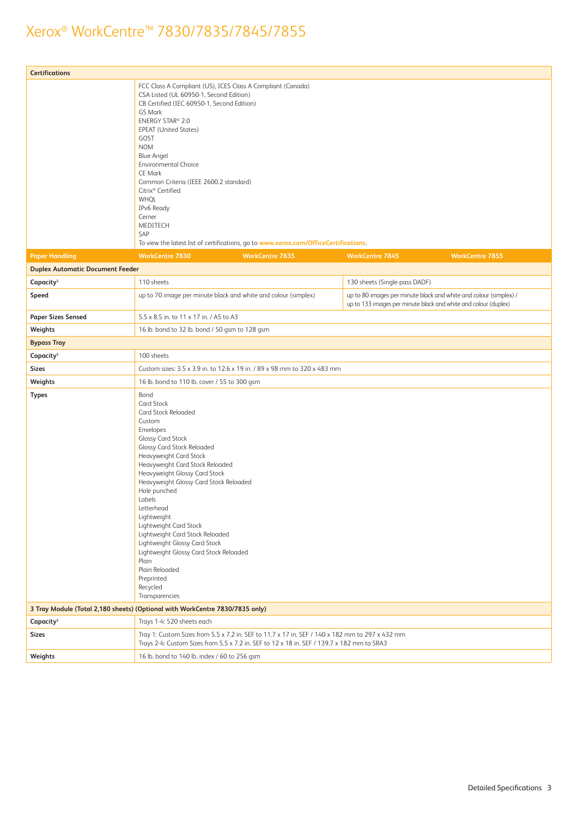| <b>Certifications</b>                   |                                                                                                                                                                                                                                                                                                                                                                                                                                                                                                                                                 |                                                                                                                                                                                               |                               |                                                                                                                                      |  |
|-----------------------------------------|-------------------------------------------------------------------------------------------------------------------------------------------------------------------------------------------------------------------------------------------------------------------------------------------------------------------------------------------------------------------------------------------------------------------------------------------------------------------------------------------------------------------------------------------------|-----------------------------------------------------------------------------------------------------------------------------------------------------------------------------------------------|-------------------------------|--------------------------------------------------------------------------------------------------------------------------------------|--|
|                                         | CSA Listed (UL 60950-1, Second Edition)<br>CB Certified (IEC 60950-1, Second Edition)<br>GS Mark<br>ENERGY STAR® 2.0<br><b>EPEAT (United States)</b><br>GOST<br><b>NOM</b><br><b>Blue Angel</b><br><b>Environmental Choice</b><br>CE Mark<br>Common Criteria (IEEE 2600.2 standard)<br>Citrix <sup>®</sup> Certified<br>WHQL<br>IPv6 Ready<br>Cerner<br>MEDITECH<br>SAP                                                                                                                                                                         | FCC Class A Compliant (US), ICES Class A Compliant (Canada)<br>To view the latest list of certifications, go to www.xerox.com/OfficeCertifications.                                           |                               |                                                                                                                                      |  |
| <b>Paper Handling</b>                   | <b>WorkCentre 7830</b>                                                                                                                                                                                                                                                                                                                                                                                                                                                                                                                          | <b>WorkCentre 7835</b>                                                                                                                                                                        | <b>WorkCentre 7845</b>        | <b>WorkCentre 7855</b>                                                                                                               |  |
| <b>Duplex Automatic Document Feeder</b> |                                                                                                                                                                                                                                                                                                                                                                                                                                                                                                                                                 |                                                                                                                                                                                               |                               |                                                                                                                                      |  |
| Capacity <sup>3</sup>                   | 110 sheets                                                                                                                                                                                                                                                                                                                                                                                                                                                                                                                                      |                                                                                                                                                                                               | 130 sheets (Single-pass DADF) |                                                                                                                                      |  |
| Speed                                   |                                                                                                                                                                                                                                                                                                                                                                                                                                                                                                                                                 | up to 70 image per minute black and white and colour (simplex)                                                                                                                                |                               | up to 80 images per minute black and white and colour (simplex) /<br>up to 133 images per minute black and white and colour (duplex) |  |
| <b>Paper Sizes Sensed</b>               | 5.5 x 8.5 in. to 11 x 17 in. / A5 to A3                                                                                                                                                                                                                                                                                                                                                                                                                                                                                                         |                                                                                                                                                                                               |                               |                                                                                                                                      |  |
| Weights                                 | 16 lb. bond to 32 lb. bond / 50 gsm to 128 gsm                                                                                                                                                                                                                                                                                                                                                                                                                                                                                                  |                                                                                                                                                                                               |                               |                                                                                                                                      |  |
| <b>Bypass Tray</b>                      |                                                                                                                                                                                                                                                                                                                                                                                                                                                                                                                                                 |                                                                                                                                                                                               |                               |                                                                                                                                      |  |
| Capacity <sup>3</sup>                   | 100 sheets                                                                                                                                                                                                                                                                                                                                                                                                                                                                                                                                      |                                                                                                                                                                                               |                               |                                                                                                                                      |  |
| <b>Sizes</b>                            |                                                                                                                                                                                                                                                                                                                                                                                                                                                                                                                                                 | Custom sizes: 3.5 x 3.9 in. to 12.6 x 19 in. / 89 x 98 mm to 320 x 483 mm                                                                                                                     |                               |                                                                                                                                      |  |
| Weights                                 | 16 lb. bond to 110 lb. cover / 55 to 300 gsm                                                                                                                                                                                                                                                                                                                                                                                                                                                                                                    |                                                                                                                                                                                               |                               |                                                                                                                                      |  |
| <b>Types</b>                            | Bond<br><b>Card Stock</b><br>Card Stock Reloaded<br>Custom<br>Envelopes<br><b>Glossy Card Stock</b><br>Glossy Card Stock Reloaded<br>Heavyweight Card Stock<br>Heavyweight Card Stock Reloaded<br>Heavyweight Glossy Card Stock<br>Heavyweight Glossy Card Stock Reloaded<br>Hole punched<br>Labels<br>Letterhead<br>Lightweight<br>Lightweight Card Stock<br>Lightweight Card Stock Reloaded<br>Lightweight Glossy Card Stock<br>Lightweight Glossy Card Stock Reloaded<br>Plain<br>Plain Reloaded<br>Preprinted<br>Recycled<br>Transparencies |                                                                                                                                                                                               |                               |                                                                                                                                      |  |
|                                         | 3 Tray Module (Total 2,180 sheets) (Optional with WorkCentre 7830/7835 only)                                                                                                                                                                                                                                                                                                                                                                                                                                                                    |                                                                                                                                                                                               |                               |                                                                                                                                      |  |
| Capacity <sup>3</sup>                   | Trays 1-4: 520 sheets each                                                                                                                                                                                                                                                                                                                                                                                                                                                                                                                      |                                                                                                                                                                                               |                               |                                                                                                                                      |  |
| <b>Sizes</b>                            |                                                                                                                                                                                                                                                                                                                                                                                                                                                                                                                                                 | Tray 1: Custom Sizes from 5.5 x 7.2 in. SEF to 11.7 x 17 in. SEF / 140 x 182 mm to 297 x 432 mm<br>Trays 2-4: Custom Sizes from 5.5 x 7.2 in. SEF to 12 x 18 in. SEF / 139.7 x 182 mm to SRA3 |                               |                                                                                                                                      |  |
| Weights                                 | 16 lb. bond to 140 lb. index / 60 to 256 gsm                                                                                                                                                                                                                                                                                                                                                                                                                                                                                                    |                                                                                                                                                                                               |                               |                                                                                                                                      |  |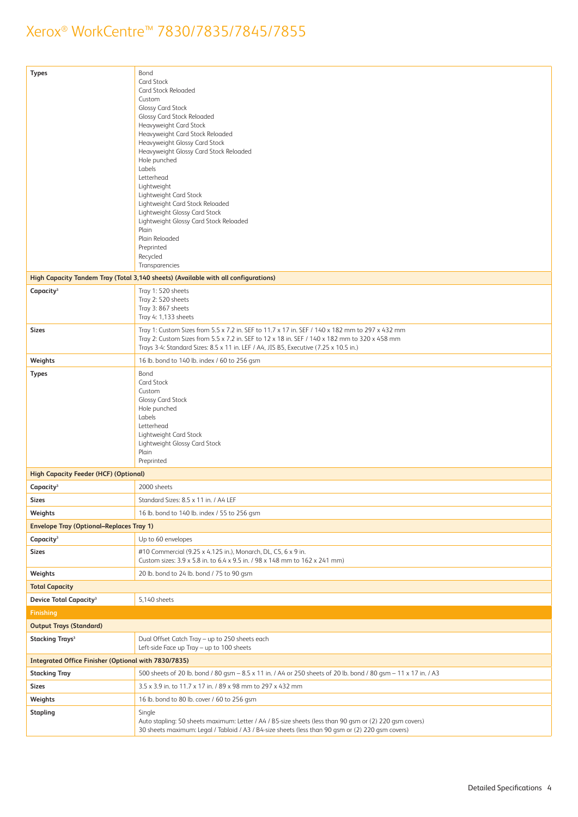| <b>Types</b>                                                | Bond<br>Card Stock<br>Card Stock Reloaded<br>Custom<br><b>Glossy Card Stock</b><br><b>Glossy Card Stock Reloaded</b><br>Heavyweight Card Stock<br>Heavyweight Card Stock Reloaded<br>Heavyweight Glossy Card Stock<br>Heavyweight Glossy Card Stock Reloaded<br>Hole punched<br>Labels<br>Letterhead<br>Lightweight<br>Lightweight Card Stock<br>Lightweight Card Stock Reloaded<br>Lightweight Glossy Card Stock<br>Lightweight Glossy Card Stock Reloaded<br>Plain<br>Plain Reloaded<br>Preprinted<br>Recycled<br>Transparencies |
|-------------------------------------------------------------|------------------------------------------------------------------------------------------------------------------------------------------------------------------------------------------------------------------------------------------------------------------------------------------------------------------------------------------------------------------------------------------------------------------------------------------------------------------------------------------------------------------------------------|
|                                                             | High Capacity Tandem Tray (Total 3,140 sheets) (Available with all configurations)                                                                                                                                                                                                                                                                                                                                                                                                                                                 |
| Capacity <sup>3</sup>                                       | Tray 1: 520 sheets<br>Tray 2: 520 sheets<br>Tray 3: 867 sheets<br>Tray 4: 1,133 sheets                                                                                                                                                                                                                                                                                                                                                                                                                                             |
| <b>Sizes</b>                                                | Tray 1: Custom Sizes from 5.5 x 7.2 in. SEF to 11.7 x 17 in. SEF / 140 x 182 mm to 297 x 432 mm<br>Tray 2: Custom Sizes from 5.5 x 7.2 in. SEF to 12 x 18 in. SEF / 140 x 182 mm to 320 x 458 mm<br>Trays 3-4: Standard Sizes: 8.5 x 11 in. LEF / A4, JIS B5, Executive (7.25 x 10.5 in.)                                                                                                                                                                                                                                          |
| Weights                                                     | 16 lb. bond to 140 lb. index / 60 to 256 gsm                                                                                                                                                                                                                                                                                                                                                                                                                                                                                       |
| <b>Types</b>                                                | Bond<br>Card Stock<br>Custom<br><b>Glossy Card Stock</b><br>Hole punched<br>Labels<br>Letterhead<br>Lightweight Card Stock<br>Lightweight Glossy Card Stock<br>Plain<br>Preprinted                                                                                                                                                                                                                                                                                                                                                 |
| <b>High Capacity Feeder (HCF) (Optional)</b>                |                                                                                                                                                                                                                                                                                                                                                                                                                                                                                                                                    |
| Capacity <sup>3</sup>                                       | 2000 sheets                                                                                                                                                                                                                                                                                                                                                                                                                                                                                                                        |
| <b>Sizes</b>                                                | Standard Sizes: 8.5 x 11 in. / A4 LEF                                                                                                                                                                                                                                                                                                                                                                                                                                                                                              |
| Weights                                                     | 16 lb. bond to 140 lb. index / 55 to 256 gsm                                                                                                                                                                                                                                                                                                                                                                                                                                                                                       |
| <b>Envelope Tray (Optional-Replaces Tray 1)</b>             |                                                                                                                                                                                                                                                                                                                                                                                                                                                                                                                                    |
| Capacity <sup>3</sup>                                       | Up to 60 envelopes                                                                                                                                                                                                                                                                                                                                                                                                                                                                                                                 |
| <b>Sizes</b>                                                | #10 Commercial (9.25 x 4.125 in.), Monarch, DL, C5, 6 x 9 in.<br>Custom sizes: 3.9 x 5.8 in. to 6.4 x 9.5 in. / 98 x 148 mm to 162 x 241 mm)                                                                                                                                                                                                                                                                                                                                                                                       |
| Weights                                                     | 20 lb. bond to 24 lb. bond / 75 to 90 gsm                                                                                                                                                                                                                                                                                                                                                                                                                                                                                          |
| <b>Total Capacity</b>                                       |                                                                                                                                                                                                                                                                                                                                                                                                                                                                                                                                    |
| <b>Device Total Capacity<sup>3</sup></b>                    | 5,140 sheets                                                                                                                                                                                                                                                                                                                                                                                                                                                                                                                       |
| <b>Finishing</b>                                            |                                                                                                                                                                                                                                                                                                                                                                                                                                                                                                                                    |
| <b>Output Trays (Standard)</b>                              |                                                                                                                                                                                                                                                                                                                                                                                                                                                                                                                                    |
| <b>Stacking Trays<sup>3</sup></b>                           | Dual Offset Catch Tray - up to 250 sheets each<br>Left-side Face up Tray - up to 100 sheets                                                                                                                                                                                                                                                                                                                                                                                                                                        |
| <b>Integrated Office Finisher (Optional with 7830/7835)</b> |                                                                                                                                                                                                                                                                                                                                                                                                                                                                                                                                    |
| <b>Stacking Tray</b>                                        | 500 sheets of 20 lb. bond / 80 gsm - 8.5 x 11 in. / A4 or 250 sheets of 20 lb. bond / 80 gsm - 11 x 17 in. / A3                                                                                                                                                                                                                                                                                                                                                                                                                    |
| <b>Sizes</b>                                                | 3.5 x 3.9 in. to 11.7 x 17 in. / 89 x 98 mm to 297 x 432 mm                                                                                                                                                                                                                                                                                                                                                                                                                                                                        |
| Weights                                                     | 16 lb. bond to 80 lb. cover / 60 to 256 gsm                                                                                                                                                                                                                                                                                                                                                                                                                                                                                        |
| <b>Stapling</b>                                             | Single                                                                                                                                                                                                                                                                                                                                                                                                                                                                                                                             |
|                                                             | Auto stapling: 50 sheets maximum: Letter / A4 / B5-size sheets (less than 90 gsm or (2) 220 gsm covers)<br>30 sheets maximum: Legal / Tabloid / A3 / B4-size sheets (less than 90 gsm or (2) 220 gsm covers)                                                                                                                                                                                                                                                                                                                       |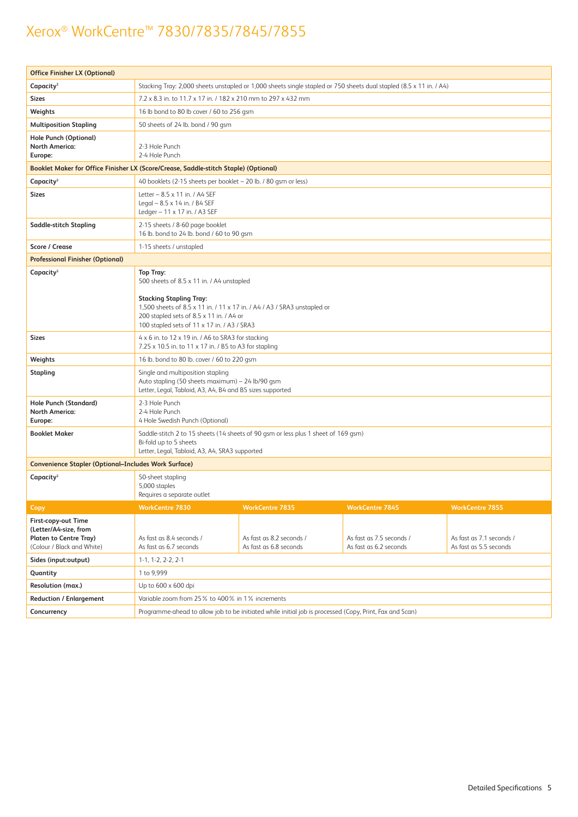| <b>Office Finisher LX (Optional)</b>                                                                        |                                                                                                                                                                                                                                                                        |                                                    |                                                    |                                                    |  |
|-------------------------------------------------------------------------------------------------------------|------------------------------------------------------------------------------------------------------------------------------------------------------------------------------------------------------------------------------------------------------------------------|----------------------------------------------------|----------------------------------------------------|----------------------------------------------------|--|
| Capacity <sup>3</sup>                                                                                       | Stacking Tray: 2,000 sheets unstapled or 1,000 sheets single stapled or 750 sheets dual stapled (8.5 x 11 in. / A4)                                                                                                                                                    |                                                    |                                                    |                                                    |  |
| <b>Sizes</b>                                                                                                | 7.2 x 8.3 in. to 11.7 x 17 in. / 182 x 210 mm to 297 x 432 mm                                                                                                                                                                                                          |                                                    |                                                    |                                                    |  |
| Weights                                                                                                     | 16 lb bond to 80 lb cover / 60 to 256 gsm                                                                                                                                                                                                                              |                                                    |                                                    |                                                    |  |
| <b>Multiposition Stapling</b>                                                                               | 50 sheets of 24 lb. bond / 90 gsm                                                                                                                                                                                                                                      |                                                    |                                                    |                                                    |  |
| Hole Punch (Optional)<br><b>North America:</b><br>Europe:                                                   | 2-3 Hole Punch<br>2-4 Hole Punch                                                                                                                                                                                                                                       |                                                    |                                                    |                                                    |  |
|                                                                                                             | Booklet Maker for Office Finisher LX (Score/Crease, Saddle-stitch Staple) (Optional)                                                                                                                                                                                   |                                                    |                                                    |                                                    |  |
| Capacity <sup>3</sup>                                                                                       | 40 booklets (2-15 sheets per booklet - 20 lb. / 80 gsm or less)                                                                                                                                                                                                        |                                                    |                                                    |                                                    |  |
| <b>Sizes</b>                                                                                                | Letter - 8.5 x 11 in. / A4 SEF<br>Legal - 8.5 x 14 in. / B4 SEF<br>Ledger $-11 \times 17$ in. / A3 SEF                                                                                                                                                                 |                                                    |                                                    |                                                    |  |
| <b>Saddle-stitch Stapling</b>                                                                               | 2-15 sheets / 8-60 page booklet<br>16 lb. bond to 24 lb. bond / 60 to 90 gsm                                                                                                                                                                                           |                                                    |                                                    |                                                    |  |
| Score / Crease                                                                                              | 1-15 sheets / unstapled                                                                                                                                                                                                                                                |                                                    |                                                    |                                                    |  |
| <b>Professional Finisher (Optional)</b>                                                                     |                                                                                                                                                                                                                                                                        |                                                    |                                                    |                                                    |  |
| Capacity <sup>3</sup>                                                                                       | <b>Top Tray:</b><br>500 sheets of 8.5 x 11 in. / A4 unstapled<br><b>Stacking Stapling Tray:</b><br>1,500 sheets of 8.5 x 11 in. / 11 x 17 in. / A4 / A3 / SRA3 unstapled or<br>200 stapled sets of 8.5 x 11 in. / A4 or<br>100 stapled sets of 11 x 17 in. / A3 / SRA3 |                                                    |                                                    |                                                    |  |
| <b>Sizes</b>                                                                                                | $4 \times 6$ in. to $12 \times 19$ in. / A6 to SRA3 for stacking<br>7.25 x 10.5 in. to 11 x 17 in. / B5 to A3 for stapling                                                                                                                                             |                                                    |                                                    |                                                    |  |
| Weights                                                                                                     | 16 lb. bond to 80 lb. cover / 60 to 220 gsm                                                                                                                                                                                                                            |                                                    |                                                    |                                                    |  |
| Stapling                                                                                                    | Single and multiposition stapling<br>Auto stapling (50 sheets maximum) - 24 lb/90 gsm<br>Letter, Legal, Tabloid, A3, A4, B4 and B5 sizes supported                                                                                                                     |                                                    |                                                    |                                                    |  |
| Hole Punch (Standard)<br><b>North America:</b><br>Europe:                                                   | 2-3 Hole Punch<br>2-4 Hole Punch<br>4 Hole Swedish Punch (Optional)                                                                                                                                                                                                    |                                                    |                                                    |                                                    |  |
| <b>Booklet Maker</b>                                                                                        | Saddle-stitch 2 to 15 sheets (14 sheets of 90 gsm or less plus 1 sheet of 169 gsm)<br>Bi-fold up to 5 sheets<br>Letter, Legal, Tabloid, A3, A4, SRA3 supported                                                                                                         |                                                    |                                                    |                                                    |  |
| <b>Convenience Stapler (Optional-Includes Work Surface)</b>                                                 |                                                                                                                                                                                                                                                                        |                                                    |                                                    |                                                    |  |
| Capacity <sup>3</sup>                                                                                       | 50-sheet stapling<br>5,000 staples<br>Requires a separate outlet                                                                                                                                                                                                       |                                                    |                                                    |                                                    |  |
| Copy                                                                                                        | <b>WorkCentre 7830</b>                                                                                                                                                                                                                                                 | <b>WorkCentre 7835</b>                             | WorkCentre 7845                                    | <b>WorkCentre 7855</b>                             |  |
| First-copy-out Time<br>(Letter/A4-size, from<br><b>Platen to Centre Tray)</b><br>(Colour / Black and White) | As fast as 8.4 seconds /<br>As fast as 6.7 seconds                                                                                                                                                                                                                     | As fast as 8.2 seconds /<br>As fast as 6.8 seconds | As fast as 7.5 seconds /<br>As fast as 6.2 seconds | As fast as 7.1 seconds /<br>As fast as 5.5 seconds |  |
| Sides (input:output)                                                                                        | $1-1.1-2.2-2.2-1$                                                                                                                                                                                                                                                      |                                                    |                                                    |                                                    |  |
| Quantity                                                                                                    | 1 to 9,999                                                                                                                                                                                                                                                             |                                                    |                                                    |                                                    |  |
| Resolution (max.)                                                                                           | Up to 600 x 600 dpi                                                                                                                                                                                                                                                    |                                                    |                                                    |                                                    |  |
| <b>Reduction / Enlargement</b>                                                                              | Variable zoom from 25% to 400% in 1% increments                                                                                                                                                                                                                        |                                                    |                                                    |                                                    |  |
| Concurrency                                                                                                 | Programme-ahead to allow job to be initiated while initial job is processed (Copy, Print, Fax and Scan)                                                                                                                                                                |                                                    |                                                    |                                                    |  |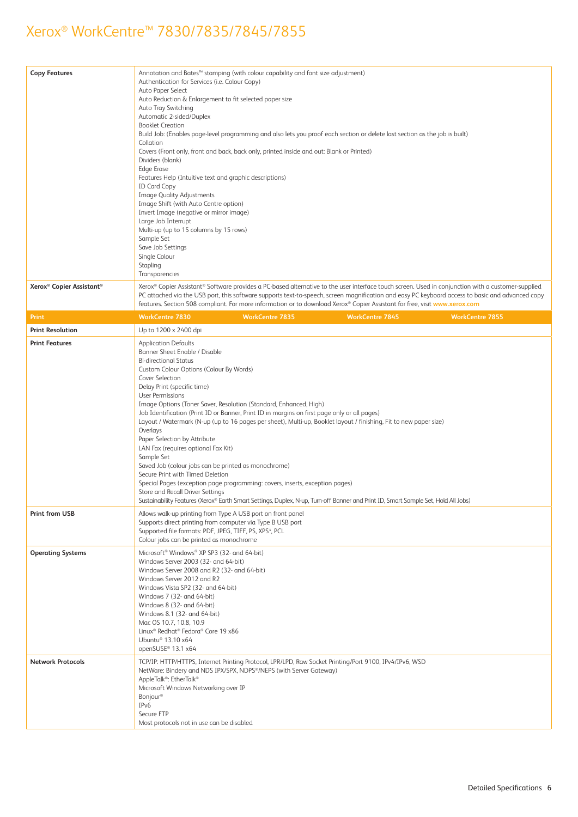| <b>Copy Features</b>                             | Annotation and Bates <sup>™</sup> stamping (with colour capability and font size adjustment)<br>Authentication for Services (i.e. Colour Copy)<br>Auto Paper Select<br>Auto Reduction & Enlargement to fit selected paper size<br>Auto Tray Switching<br>Automatic 2-sided/Duplex<br><b>Booklet Creation</b><br>Build Job: (Enables page-level programming and also lets you proof each section or delete last section as the job is built)<br>Collation<br>Covers (Front only, front and back, back only, printed inside and out: Blank or Printed)<br>Dividers (blank)<br><b>Edge Erase</b><br>Features Help (Intuitive text and graphic descriptions)<br><b>ID Card Copy</b><br>Image Quality Adjustments<br>Image Shift (with Auto Centre option)<br>Invert Image (negative or mirror image)<br>Large Job Interrupt<br>Multi-up (up to 15 columns by 15 rows)<br>Sample Set<br>Save Job Settings<br>Single Colour<br>Stapling<br>Transparencies                   |
|--------------------------------------------------|-----------------------------------------------------------------------------------------------------------------------------------------------------------------------------------------------------------------------------------------------------------------------------------------------------------------------------------------------------------------------------------------------------------------------------------------------------------------------------------------------------------------------------------------------------------------------------------------------------------------------------------------------------------------------------------------------------------------------------------------------------------------------------------------------------------------------------------------------------------------------------------------------------------------------------------------------------------------------|
| Xerox <sup>®</sup> Copier Assistant <sup>®</sup> | Xerox® Copier Assistant® Software provides a PC-based alternative to the user interface touch screen. Used in conjunction with a customer-supplied                                                                                                                                                                                                                                                                                                                                                                                                                                                                                                                                                                                                                                                                                                                                                                                                                    |
|                                                  | PC attached via the USB port, this software supports text-to-speech, screen magnification and easy PC keyboard access to basic and advanced copy<br>features. Section 508 compliant. For more information or to download Xerox® Copier Assistant for free, visit www.xerox.com                                                                                                                                                                                                                                                                                                                                                                                                                                                                                                                                                                                                                                                                                        |
| Print                                            | <b>WorkCentre 7830</b><br><b>WorkCentre 7835</b><br><b>WorkCentre 7845</b><br><b>WorkCentre 7855</b>                                                                                                                                                                                                                                                                                                                                                                                                                                                                                                                                                                                                                                                                                                                                                                                                                                                                  |
| <b>Print Resolution</b>                          | Up to 1200 x 2400 dpi                                                                                                                                                                                                                                                                                                                                                                                                                                                                                                                                                                                                                                                                                                                                                                                                                                                                                                                                                 |
| <b>Print Features</b>                            | <b>Application Defaults</b><br>Banner Sheet Enable / Disable<br><b>Bi-directional Status</b><br>Custom Colour Options (Colour By Words)<br>Cover Selection<br>Delay Print (specific time)<br><b>User Permissions</b><br>Image Options (Toner Saver, Resolution (Standard, Enhanced, High)<br>Job Identification (Print ID or Banner, Print ID in margins on first page only or all pages)<br>Layout / Watermark (N-up (up to 16 pages per sheet), Multi-up, Booklet layout / finishing, Fit to new paper size)<br>Overlays<br>Paper Selection by Attribute<br>LAN Fax (requires optional Fax Kit)<br>Sample Set<br>Saved Job (colour jobs can be printed as monochrome)<br>Secure Print with Timed Deletion<br>Special Pages (exception page programming: covers, inserts, exception pages)<br>Store and Recall Driver Settings<br>Sustainability Features (Xerox® Earth Smart Settings, Duplex, N-up, Turn-off Banner and Print ID, Smart Sample Set, Hold All Jobs) |
| Print from USB                                   | Allows walk-up printing from Type A USB port on front panel<br>Supports direct printing from computer via Type B USB port<br>Supported file formats: PDF, JPEG, TIFF, PS, XPS <sup>4</sup> , PCL<br>Colour jobs can be printed as monochrome                                                                                                                                                                                                                                                                                                                                                                                                                                                                                                                                                                                                                                                                                                                          |
| <b>Operating Systems</b>                         | Microsoft <sup>®</sup> Windows® XP SP3 (32- and 64-bit)<br>Windows Server 2003 (32- and 64-bit)<br>Windows Server 2008 and R2 (32- and 64-bit)<br>Windows Server 2012 and R2<br>Windows Vista SP2 (32- and 64-bit)<br>Windows 7 (32- and 64-bit)<br>Windows 8 (32- and 64-bit)<br>Windows 8.1 (32- and 64-bit)<br>Mac OS 10.7, 10.8, 10.9<br>Linux <sup>®</sup> Redhat® Fedora® Core 19 x86<br>Ubuntu <sup>®</sup> 13.10 x64<br>openSUSE® 13.1 x64                                                                                                                                                                                                                                                                                                                                                                                                                                                                                                                    |
| <b>Network Protocols</b>                         | TCP/IP: HTTP/HTTPS, Internet Printing Protocol, LPR/LPD, Raw Socket Printing/Port 9100, IPv4/IPv6, WSD<br>NetWare: Bindery and NDS IPX/SPX, NDPS®/NEPS (with Server Gateway)<br>AppleTalk®: EtherTalk®<br>Microsoft Windows Networking over IP<br>Bonjour <sup>®</sup><br>IP <sub>v</sub> 6<br>Secure FTP<br>Most protocols not in use can be disabled                                                                                                                                                                                                                                                                                                                                                                                                                                                                                                                                                                                                                |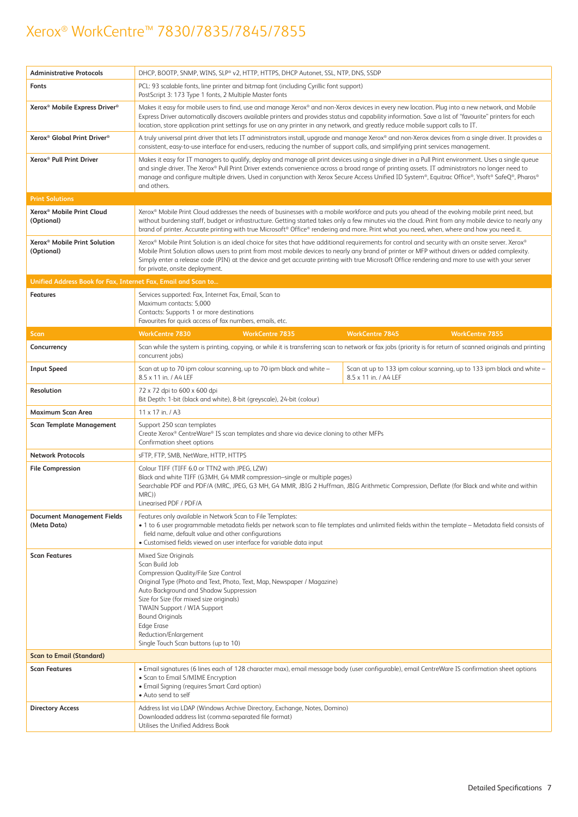| <b>Administrative Protocols</b>                               | DHCP, BOOTP, SNMP, WINS, SLP® v2, HTTP, HTTPS, DHCP Autonet, SSL, NTP, DNS, SSDP                                                                                                                                                                                                                                                                                                                                                                                                            |                                                                                                                                                               |  |  |
|---------------------------------------------------------------|---------------------------------------------------------------------------------------------------------------------------------------------------------------------------------------------------------------------------------------------------------------------------------------------------------------------------------------------------------------------------------------------------------------------------------------------------------------------------------------------|---------------------------------------------------------------------------------------------------------------------------------------------------------------|--|--|
| Fonts                                                         | PCL: 93 scalable fonts, line printer and bitmap font (including Cyrillic font support)<br>PostScript 3: 173 Type 1 fonts, 2 Multiple Master fonts                                                                                                                                                                                                                                                                                                                                           |                                                                                                                                                               |  |  |
| Xerox <sup>®</sup> Mobile Express Driver <sup>®</sup>         | Makes it easy for mobile users to find, use and manage Xerox® and non-Xerox devices in every new location. Plug into a new network, and Mobile<br>Express Driver automatically discovers available printers and provides status and capability information. Save a list of "favourite" printers for each<br>location, store application print settings for use on any printer in any network, and greatly reduce mobile support calls to IT.                                                |                                                                                                                                                               |  |  |
| Xerox <sup>®</sup> Global Print Driver <sup>®</sup>           | consistent, easy-to-use interface for end-users, reducing the number of support calls, and simplifying print services management.                                                                                                                                                                                                                                                                                                                                                           | A truly universal print driver that lets IT administrators install, upgrade and manage Xerox® and non-Xerox devices from a single driver. It provides a       |  |  |
| Xerox <sup>®</sup> Pull Print Driver                          | Makes it easy for IT managers to qualify, deploy and manage all print devices using a single driver in a Pull Print environment. Uses a single queue<br>and single driver. The Xerox® Pull Print Driver extends convenience across a broad range of printing assets. IT administrators no longer need to<br>manage and configure multiple drivers. Used in conjunction with Xerox Secure Access Unified ID System®, Equitrac Office®, Ysoft® SafeQ®, Pharos®<br>and others.                 |                                                                                                                                                               |  |  |
| <b>Print Solutions</b>                                        |                                                                                                                                                                                                                                                                                                                                                                                                                                                                                             |                                                                                                                                                               |  |  |
| Xerox <sup>®</sup> Mobile Print Cloud<br>(Optional)           | Xerox® Mobile Print Cloud addresses the needs of businesses with a mobile workforce and puts you ahead of the evolving mobile print need, but<br>brand of printer. Accurate printing with true Microsoft® Office® rendering and more. Print what you need, when, where and how you need it.                                                                                                                                                                                                 | without burdening staff, budget or infrastructure. Getting started takes only a few minutes via the cloud. Print from any mobile device to nearly any         |  |  |
| Xerox <sup>®</sup> Mobile Print Solution<br>(Optional)        | Xerox® Mobile Print Solution is an ideal choice for sites that have additional requirements for control and security with an onsite server. Xerox®<br>Mobile Print Solution allows users to print from most mobile devices to nearly any brand of printer or MFP without drivers or added complexity.<br>Simply enter a release code (PIN) at the device and get accurate printing with true Microsoft Office rendering and more to use with your server<br>for private, onsite deployment. |                                                                                                                                                               |  |  |
| Unified Address Book for Fax, Internet Fax, Email and Scan to |                                                                                                                                                                                                                                                                                                                                                                                                                                                                                             |                                                                                                                                                               |  |  |
| <b>Features</b>                                               | Services supported: Fax, Internet Fax, Email, Scan to<br>Maximum contacts: 5,000<br>Contacts: Supports 1 or more destinations<br>Favourites for quick access of fax numbers, emails, etc.                                                                                                                                                                                                                                                                                                   |                                                                                                                                                               |  |  |
| <b>Scan</b>                                                   | <b>WorkCentre 7830</b><br><b>WorkCentre 7835</b>                                                                                                                                                                                                                                                                                                                                                                                                                                            | <b>WorkCentre 7855</b><br><b>WorkCentre 7845</b>                                                                                                              |  |  |
| Concurrency                                                   | concurrent jobs)                                                                                                                                                                                                                                                                                                                                                                                                                                                                            | Scan while the system is printing, copying, or while it is transferring scan to network or fax jobs (priority is for return of scanned originals and printing |  |  |
| <b>Input Speed</b>                                            | Scan at up to 70 ipm colour scanning, up to 70 ipm black and white -<br>8.5 x 11 in. / A4 LEF                                                                                                                                                                                                                                                                                                                                                                                               | Scan at up to 133 ipm colour scanning, up to 133 ipm black and white -<br>8.5 x 11 in. / A4 LEF                                                               |  |  |
| Resolution                                                    | 72 x 72 dpi to 600 x 600 dpi<br>Bit Depth: 1-bit (black and white), 8-bit (greyscale), 24-bit (colour)                                                                                                                                                                                                                                                                                                                                                                                      |                                                                                                                                                               |  |  |
| Maximum Scan Area                                             | 11 x 17 in. / A3                                                                                                                                                                                                                                                                                                                                                                                                                                                                            |                                                                                                                                                               |  |  |
| <b>Scan Template Management</b>                               | Support 250 scan templates<br>Create Xerox® CentreWare® IS scan templates and share via device cloning to other MFPs<br>Confirmation sheet options                                                                                                                                                                                                                                                                                                                                          |                                                                                                                                                               |  |  |
| <b>Network Protocols</b>                                      | sFTP, FTP, SMB, NetWare, HTTP, HTTPS                                                                                                                                                                                                                                                                                                                                                                                                                                                        |                                                                                                                                                               |  |  |
| <b>File Compression</b>                                       | Colour TIFF (TIFF 6.0 or TTN2 with JPEG, LZW)<br>Black and white TIFF (G3MH, G4 MMR compression-single or multiple pages)<br>Searchable PDF and PDF/A (MRC, JPEG, G3 MH, G4 MMR, JBIG 2 Huffman, JBIG Arithmetic Compression, Deflate (for Black and white and within<br>MRC))<br>Linearised PDF / PDF/A                                                                                                                                                                                    |                                                                                                                                                               |  |  |
| <b>Document Management Fields</b><br>(Meta Data)              | Features only available in Network Scan to File Templates:<br>. 1 to 6 user programmable metadata fields per network scan to file templates and unlimited fields within the template - Metadata field consists of<br>field name, default value and other configurations<br>• Customised fields viewed on user interface for variable data input                                                                                                                                             |                                                                                                                                                               |  |  |
| <b>Scan Features</b>                                          | Mixed Size Originals<br>Scan Build Job<br>Compression Quality/File Size Control<br>Original Type (Photo and Text, Photo, Text, Map, Newspaper / Magazine)<br>Auto Background and Shadow Suppression<br>Size for Size (for mixed size originals)<br>TWAIN Support / WIA Support<br><b>Bound Originals</b><br>Edge Erase<br>Reduction/Enlargement<br>Single Touch Scan buttons (up to 10)                                                                                                     |                                                                                                                                                               |  |  |
| <b>Scan to Email (Standard)</b>                               |                                                                                                                                                                                                                                                                                                                                                                                                                                                                                             |                                                                                                                                                               |  |  |
| <b>Scan Features</b>                                          | · Email signatures (6 lines each of 128 character max), email message body (user configurable), email CentreWare IS confirmation sheet options<br>• Scan to Email S/MIME Encryption<br>• Email Signing (requires Smart Card option)<br>• Auto send to self                                                                                                                                                                                                                                  |                                                                                                                                                               |  |  |
| <b>Directory Access</b>                                       | Address list via LDAP (Windows Archive Directory, Exchange, Notes, Domino)<br>Downloaded address list (comma-separated file format)<br>Utilises the Unified Address Book                                                                                                                                                                                                                                                                                                                    |                                                                                                                                                               |  |  |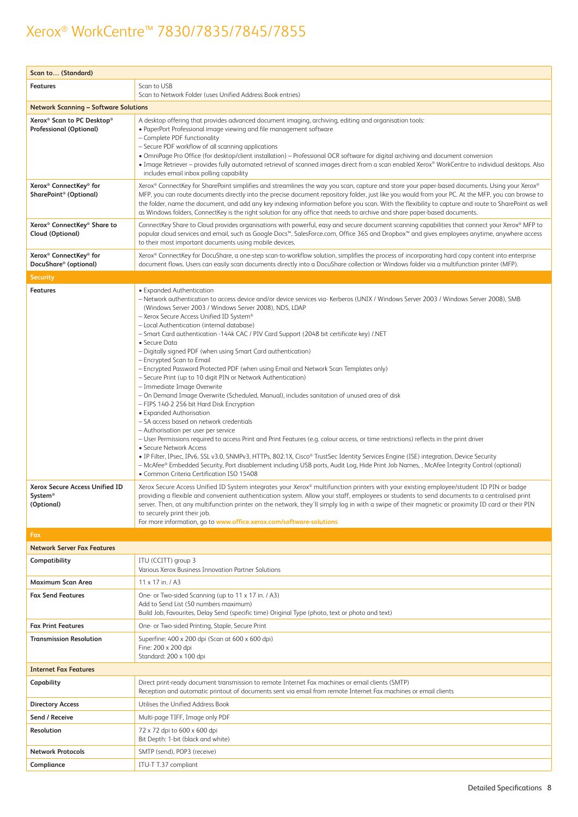| Scan to (Standard)                                                                   |                                                                                                                                                                                                                                                                                                                                                                                                                                                                                                                                                                                                                                                                                                                                                                                                                                                                                                                                                                                                                                                                                                                                                                                                                                                                                                                                                                                                                                                                                                   |
|--------------------------------------------------------------------------------------|---------------------------------------------------------------------------------------------------------------------------------------------------------------------------------------------------------------------------------------------------------------------------------------------------------------------------------------------------------------------------------------------------------------------------------------------------------------------------------------------------------------------------------------------------------------------------------------------------------------------------------------------------------------------------------------------------------------------------------------------------------------------------------------------------------------------------------------------------------------------------------------------------------------------------------------------------------------------------------------------------------------------------------------------------------------------------------------------------------------------------------------------------------------------------------------------------------------------------------------------------------------------------------------------------------------------------------------------------------------------------------------------------------------------------------------------------------------------------------------------------|
| <b>Features</b>                                                                      | Scan to USB<br>Scan to Network Folder (uses Unified Address Book entries)                                                                                                                                                                                                                                                                                                                                                                                                                                                                                                                                                                                                                                                                                                                                                                                                                                                                                                                                                                                                                                                                                                                                                                                                                                                                                                                                                                                                                         |
| <b>Network Scanning – Software Solutions</b>                                         |                                                                                                                                                                                                                                                                                                                                                                                                                                                                                                                                                                                                                                                                                                                                                                                                                                                                                                                                                                                                                                                                                                                                                                                                                                                                                                                                                                                                                                                                                                   |
| Xerox <sup>®</sup> Scan to PC Desktop®<br><b>Professional (Optional)</b>             | A desktop offering that provides advanced document imaging, archiving, editing and organisation tools:<br>• PaperPort Professional image viewing and file management software<br>- Complete PDF functionality<br>- Secure PDF workflow of all scanning applications<br>• OmniPage Pro Office (for desktop/client installation) – Professional OCR software for digital archiving and document conversion<br>• Image Retriever – provides fully automated retrieval of scanned images direct from a scan enabled Xerox® WorkCentre to individual desktops. Also<br>includes email inbox polling capability                                                                                                                                                                                                                                                                                                                                                                                                                                                                                                                                                                                                                                                                                                                                                                                                                                                                                         |
| Xerox <sup>®</sup> ConnectKey <sup>®</sup> for<br>SharePoint <sup>®</sup> (Optional) | Xerox® ConnectKey for SharePoint simplifies and streamlines the way you scan, capture and store your paper-based documents. Using your Xerox®<br>MFP, you can route documents directly into the precise document repository folder, just like you would from your PC. At the MFP, you can browse to<br>the folder, name the document, and add any key indexing information before you scan. With the flexibility to capture and route to SharePoint as well<br>as Windows folders, ConnectKey is the right solution for any office that needs to archive and share paper-based documents.                                                                                                                                                                                                                                                                                                                                                                                                                                                                                                                                                                                                                                                                                                                                                                                                                                                                                                         |
| Xerox <sup>®</sup> ConnectKey® Share to<br><b>Cloud (Optional)</b>                   | ConnectKey Share to Cloud provides organisations with powerful, easy and secure document scanning capabilities that connect your Xerox® MFP to<br>popular cloud services and email, such as Google Docs™, SalesForce.com, Office 365 and Dropbox™ and gives employees anytime, anywhere access<br>to their most important documents using mobile devices.                                                                                                                                                                                                                                                                                                                                                                                                                                                                                                                                                                                                                                                                                                                                                                                                                                                                                                                                                                                                                                                                                                                                         |
| Xerox <sup>®</sup> ConnectKey <sup>®</sup> for<br>DocuShare <sup>®</sup> (optional)  | Xerox® ConnectKey for DocuShare, a one-step scan-to-workflow solution, simplifies the process of incorporating hard copy content into enterprise<br>document flows. Users can easily scan documents directly into a DocuShare collection or Windows folder via a multifunction printer (MFP).                                                                                                                                                                                                                                                                                                                                                                                                                                                                                                                                                                                                                                                                                                                                                                                                                                                                                                                                                                                                                                                                                                                                                                                                     |
| <b>Security</b>                                                                      |                                                                                                                                                                                                                                                                                                                                                                                                                                                                                                                                                                                                                                                                                                                                                                                                                                                                                                                                                                                                                                                                                                                                                                                                                                                                                                                                                                                                                                                                                                   |
| <b>Features</b>                                                                      | • Expanded Authentication<br>- Network authentication to access device and/or device services via- Kerberos (UNIX / Windows Server 2003 / Windows Server 2008), SMB<br>(Windows Server 2003 / Windows Server 2008), NDS, LDAP<br>- Xerox Secure Access Unified ID System®<br>- Local Authentication (internal database)<br>- Smart Card authentication -144k CAC / PIV Card Support (2048 bit certificate key) /.NET<br>• Secure Data<br>- Digitally signed PDF (when using Smart Card authentication)<br>- Encrypted Scan to Email<br>- Encrypted Password Protected PDF (when using Email and Network Scan Templates only)<br>- Secure Print (up to 10 digit PIN or Network Authentication)<br>- Immediate Image Overwrite<br>- On Demand Image Overwrite (Scheduled, Manual), includes sanitation of unused area of disk<br>- FIPS 140-2 256 bit Hard Disk Encryption<br>• Expanded Authorisation<br>- SA access based on network credentials<br>- Authorisation per user per service<br>- User Permissions required to access Print and Print Features (e.g. colour access, or time restrictions) reflects in the print driver<br>• Secure Network Access<br>· IP Filter, IPsec, IPv6, SSL v3.0, SNMPv3, HTTPs, 802.1X, Cisco® TrustSec Identity Services Engine (ISE) integration, Device Security<br>- McAfee® Embedded Security, Port disablement including USB ports, Audit Log, Hide Print Job Names, , McAfee Integrity Control (optional)<br>• Common Criteria Certification ISO 15408 |
| Xerox Secure Access Unified ID<br>System®<br>(Optional)                              | Xerox Secure Access Unified ID System integrates your Xerox® multifunction printers with your existing employee/student ID PIN or badge<br>providing a flexible and convenient authentication system. Allow your staff, employees or students to send documents to a centralised print<br>server. Then, at any multifunction printer on the network, they'll simply log in with a swipe of their magnetic or proximity ID card or their PIN<br>to securely print their job.<br>For more information, go to www.office.xerox.com/software-solutions                                                                                                                                                                                                                                                                                                                                                                                                                                                                                                                                                                                                                                                                                                                                                                                                                                                                                                                                                |
| Fax                                                                                  |                                                                                                                                                                                                                                                                                                                                                                                                                                                                                                                                                                                                                                                                                                                                                                                                                                                                                                                                                                                                                                                                                                                                                                                                                                                                                                                                                                                                                                                                                                   |
| <b>Network Server Fax Features</b>                                                   |                                                                                                                                                                                                                                                                                                                                                                                                                                                                                                                                                                                                                                                                                                                                                                                                                                                                                                                                                                                                                                                                                                                                                                                                                                                                                                                                                                                                                                                                                                   |
| Compatibility                                                                        | ITU (CCITT) group 3<br>Various Xerox Business Innovation Partner Solutions                                                                                                                                                                                                                                                                                                                                                                                                                                                                                                                                                                                                                                                                                                                                                                                                                                                                                                                                                                                                                                                                                                                                                                                                                                                                                                                                                                                                                        |
| Maximum Scan Area                                                                    | $11 \times 17$ in. / A3                                                                                                                                                                                                                                                                                                                                                                                                                                                                                                                                                                                                                                                                                                                                                                                                                                                                                                                                                                                                                                                                                                                                                                                                                                                                                                                                                                                                                                                                           |
| <b>Fax Send Features</b>                                                             | One- or Two-sided Scanning (up to 11 x 17 in. / A3)<br>Add to Send List (50 numbers maximum)<br>Build Job, Favourites, Delay Send (specific time) Original Type (photo, text or photo and text)                                                                                                                                                                                                                                                                                                                                                                                                                                                                                                                                                                                                                                                                                                                                                                                                                                                                                                                                                                                                                                                                                                                                                                                                                                                                                                   |
| <b>Fax Print Features</b>                                                            | One- or Two-sided Printing, Staple, Secure Print                                                                                                                                                                                                                                                                                                                                                                                                                                                                                                                                                                                                                                                                                                                                                                                                                                                                                                                                                                                                                                                                                                                                                                                                                                                                                                                                                                                                                                                  |
| <b>Transmission Resolution</b>                                                       | Superfine: 400 x 200 dpi (Scan at 600 x 600 dpi)<br>Fine: 200 x 200 dpi<br>Standard: 200 x 100 dpi                                                                                                                                                                                                                                                                                                                                                                                                                                                                                                                                                                                                                                                                                                                                                                                                                                                                                                                                                                                                                                                                                                                                                                                                                                                                                                                                                                                                |
| <b>Internet Fax Features</b>                                                         |                                                                                                                                                                                                                                                                                                                                                                                                                                                                                                                                                                                                                                                                                                                                                                                                                                                                                                                                                                                                                                                                                                                                                                                                                                                                                                                                                                                                                                                                                                   |
| Capability                                                                           | Direct print-ready document transmission to remote Internet Fax machines or email clients (SMTP)<br>Reception and automatic printout of documents sent via email from remote Internet Fax machines or email clients                                                                                                                                                                                                                                                                                                                                                                                                                                                                                                                                                                                                                                                                                                                                                                                                                                                                                                                                                                                                                                                                                                                                                                                                                                                                               |
| <b>Directory Access</b>                                                              | Utilises the Unified Address Book                                                                                                                                                                                                                                                                                                                                                                                                                                                                                                                                                                                                                                                                                                                                                                                                                                                                                                                                                                                                                                                                                                                                                                                                                                                                                                                                                                                                                                                                 |
| Send / Receive                                                                       | Multi-page TIFF, Image only PDF                                                                                                                                                                                                                                                                                                                                                                                                                                                                                                                                                                                                                                                                                                                                                                                                                                                                                                                                                                                                                                                                                                                                                                                                                                                                                                                                                                                                                                                                   |
| Resolution                                                                           | 72 x 72 dpi to 600 x 600 dpi<br>Bit Depth: 1-bit (black and white)                                                                                                                                                                                                                                                                                                                                                                                                                                                                                                                                                                                                                                                                                                                                                                                                                                                                                                                                                                                                                                                                                                                                                                                                                                                                                                                                                                                                                                |
| <b>Network Protocols</b>                                                             | SMTP (send), POP3 (receive)                                                                                                                                                                                                                                                                                                                                                                                                                                                                                                                                                                                                                                                                                                                                                                                                                                                                                                                                                                                                                                                                                                                                                                                                                                                                                                                                                                                                                                                                       |
| Compliance                                                                           | ITU-T T.37 compliant                                                                                                                                                                                                                                                                                                                                                                                                                                                                                                                                                                                                                                                                                                                                                                                                                                                                                                                                                                                                                                                                                                                                                                                                                                                                                                                                                                                                                                                                              |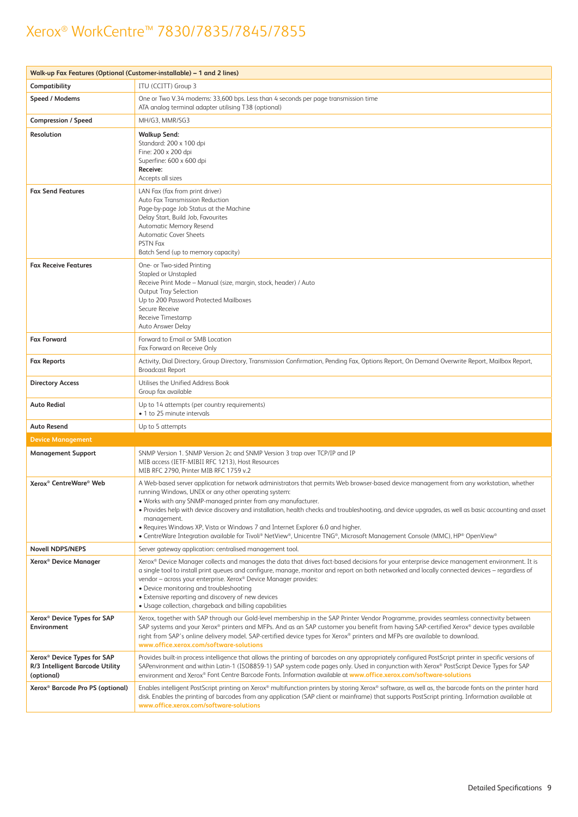|                                                                                          | Walk-up Fax Features (Optional (Customer-installable) – 1 and 2 lines)                                                                                                                                                                                                                                                                                                                                                                                                                                                                                                                                                                                    |
|------------------------------------------------------------------------------------------|-----------------------------------------------------------------------------------------------------------------------------------------------------------------------------------------------------------------------------------------------------------------------------------------------------------------------------------------------------------------------------------------------------------------------------------------------------------------------------------------------------------------------------------------------------------------------------------------------------------------------------------------------------------|
| Compatibility                                                                            | ITU (CCITT) Group 3                                                                                                                                                                                                                                                                                                                                                                                                                                                                                                                                                                                                                                       |
| Speed / Modems                                                                           | One or Two V.34 modems: 33,600 bps. Less than 4 seconds per page transmission time<br>ATA analog terminal adapter utilising T38 (optional)                                                                                                                                                                                                                                                                                                                                                                                                                                                                                                                |
| <b>Compression / Speed</b>                                                               | MH/G3, MMR/SG3                                                                                                                                                                                                                                                                                                                                                                                                                                                                                                                                                                                                                                            |
| Resolution                                                                               | <b>Walkup Send:</b><br>Standard: 200 x 100 dpi<br>Fine: 200 x 200 dpi<br>Superfine: 600 x 600 dpi<br>Receive:<br>Accepts all sizes                                                                                                                                                                                                                                                                                                                                                                                                                                                                                                                        |
| <b>Fax Send Features</b>                                                                 | LAN Fax (fax from print driver)<br>Auto Fax Transmission Reduction<br>Page-by-page Job Status at the Machine<br>Delay Start, Build Job, Favourites<br>Automatic Memory Resend<br><b>Automatic Cover Sheets</b><br><b>PSTN Fax</b><br>Batch Send (up to memory capacity)                                                                                                                                                                                                                                                                                                                                                                                   |
| <b>Fax Receive Features</b>                                                              | One- or Two-sided Printing<br><b>Stapled or Unstapled</b><br>Receive Print Mode - Manual (size, margin, stock, header) / Auto<br><b>Output Tray Selection</b><br>Up to 200 Password Protected Mailboxes<br>Secure Receive<br>Receive Timestamp<br>Auto Answer Delay                                                                                                                                                                                                                                                                                                                                                                                       |
| <b>Fax Forward</b>                                                                       | Forward to Email or SMB Location<br>Fax Forward on Receive Only                                                                                                                                                                                                                                                                                                                                                                                                                                                                                                                                                                                           |
| <b>Fax Reports</b>                                                                       | Activity, Dial Directory, Group Directory, Transmission Confirmation, Pending Fax, Options Report, On Demand Overwrite Report, Mailbox Report,<br><b>Broadcast Report</b>                                                                                                                                                                                                                                                                                                                                                                                                                                                                                 |
| <b>Directory Access</b>                                                                  | Utilises the Unified Address Book<br>Group fax available                                                                                                                                                                                                                                                                                                                                                                                                                                                                                                                                                                                                  |
| Auto Redial                                                                              | Up to 14 attempts (per country requirements)<br>• 1 to 25 minute intervals                                                                                                                                                                                                                                                                                                                                                                                                                                                                                                                                                                                |
| Auto Resend                                                                              | Up to 5 attempts                                                                                                                                                                                                                                                                                                                                                                                                                                                                                                                                                                                                                                          |
| <b>Device Management</b>                                                                 |                                                                                                                                                                                                                                                                                                                                                                                                                                                                                                                                                                                                                                                           |
| <b>Management Support</b>                                                                | SNMP Version 1. SNMP Version 2c and SNMP Version 3 trap over TCP/IP and IP<br>MIB access (IETF-MIBII RFC 1213). Host Resources<br>MIB RFC 2790, Printer MIB RFC 1759 v.2                                                                                                                                                                                                                                                                                                                                                                                                                                                                                  |
| Xerox <sup>®</sup> CentreWare <sup>®</sup> Web                                           | A Web-based server application for network administrators that permits Web browser-based device management from any workstation, whether<br>running Windows, UNIX or any other operating system:<br>. Works with any SNMP-managed printer from any manufacturer.<br>• Provides help with device discovery and installation, health checks and troubleshooting, and device upgrades, as well as basic accounting and asset<br>management.<br>• Requires Windows XP, Vista or Windows 7 and Internet Explorer 6.0 and higher.<br>• CentreWare Integration available for Tivoli® NetView®, Unicentre TNG®, Microsoft Management Console (MMC), HP® OpenView® |
| <b>Novell NDPS/NEPS</b>                                                                  | Server gateway application: centralised management tool.                                                                                                                                                                                                                                                                                                                                                                                                                                                                                                                                                                                                  |
| Xerox <sup>®</sup> Device Manager                                                        | Xerox® Device Manager collects and manages the data that drives fact-based decisions for your enterprise device management environment. It is<br>a single tool to install print queues and configure, manage, monitor and report on both networked and locally connected devices - regardless of<br>vendor - across your enterprise. Xerox® Device Manager provides:<br>• Device monitoring and troubleshooting<br>• Extensive reporting and discovery of new devices<br>• Usage collection, chargeback and billing capabilities                                                                                                                          |
| Xerox <sup>®</sup> Device Types for SAP<br>Environment                                   | Xerox, together with SAP through our Gold-level membership in the SAP Printer Vendor Programme, provides seamless connectivity between<br>SAP systems and your Xerox® printers and MFPs. And as an SAP customer you benefit from having SAP-certified Xerox® device types available<br>right from SAP's online delivery model. SAP-certified device types for Xerox® printers and MFPs are available to download.<br>www.office.xerox.com/software-solutions                                                                                                                                                                                              |
| Xerox <sup>®</sup> Device Types for SAP<br>R/3 Intelligent Barcode Utility<br>(optional) | Provides built-in process intelligence that allows the printing of barcodes on any appropriately configured PostScript printer in specific versions of<br>SAPenvironment and within Latin-1 (ISO8859-1) SAP system code pages only. Used in conjunction with Xerox® PostScript Device Types for SAP<br>environment and Xerox® Font Centre Barcode Fonts. Information available at www.office.xerox.com/software-solutions                                                                                                                                                                                                                                 |
| Xerox <sup>®</sup> Barcode Pro PS (optional)                                             | Enables intelligent PostScript printing on Xerox® multifunction printers by storing Xerox® software, as well as, the barcode fonts on the printer hard<br>disk. Enables the printing of barcodes from any application (SAP client or mainframe) that supports PostScript printing. Information available at<br>www.office.xerox.com/software-solutions                                                                                                                                                                                                                                                                                                    |
|                                                                                          |                                                                                                                                                                                                                                                                                                                                                                                                                                                                                                                                                                                                                                                           |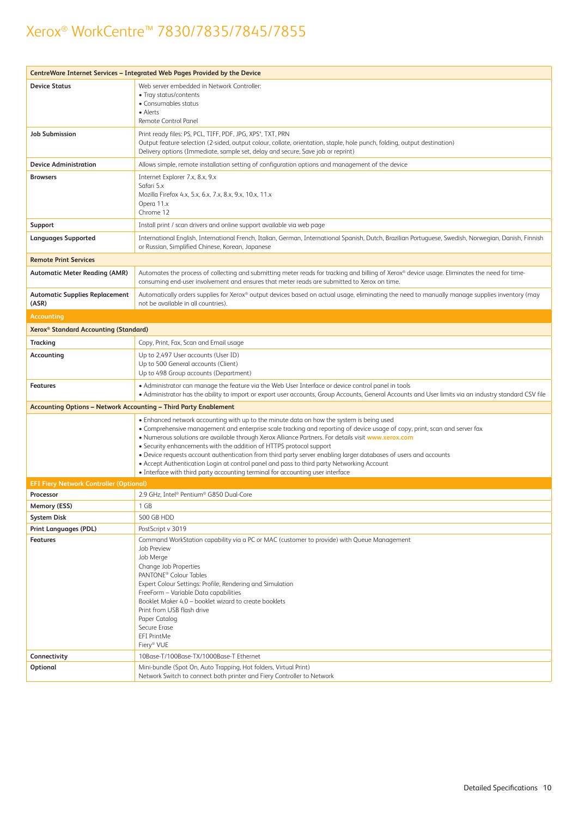| CentreWare Internet Services - Integrated Web Pages Provided by the Device |                                                                                                                                                                                                                                                                           |  |  |  |
|----------------------------------------------------------------------------|---------------------------------------------------------------------------------------------------------------------------------------------------------------------------------------------------------------------------------------------------------------------------|--|--|--|
| <b>Device Status</b>                                                       | Web server embedded in Network Controller:                                                                                                                                                                                                                                |  |  |  |
|                                                                            | • Tray status/contents                                                                                                                                                                                                                                                    |  |  |  |
|                                                                            | • Consumables status                                                                                                                                                                                                                                                      |  |  |  |
|                                                                            | • Alerts<br><b>Remote Control Panel</b>                                                                                                                                                                                                                                   |  |  |  |
|                                                                            |                                                                                                                                                                                                                                                                           |  |  |  |
| <b>Job Submission</b>                                                      | Print ready files: PS, PCL, TIFF, PDF, JPG, XPS4, TXT, PRN<br>Output feature selection (2-sided, output colour, collate, orientation, staple, hole punch, folding, output destination)<br>Delivery options (Immediate, sample set, delay and secure, Save job or reprint) |  |  |  |
| <b>Device Administration</b>                                               | Allows simple, remote installation setting of configuration options and management of the device                                                                                                                                                                          |  |  |  |
| <b>Browsers</b>                                                            | Internet Explorer 7.x, 8.x, 9.x                                                                                                                                                                                                                                           |  |  |  |
|                                                                            | Safari 5.x                                                                                                                                                                                                                                                                |  |  |  |
|                                                                            | Mozilla Firefox 4.x, 5.x, 6.x, 7.x, 8.x, 9.x, 10.x, 11.x<br>Opera 11.x                                                                                                                                                                                                    |  |  |  |
|                                                                            | Chrome 12                                                                                                                                                                                                                                                                 |  |  |  |
| Support                                                                    | Install print / scan drivers and online support available via web page                                                                                                                                                                                                    |  |  |  |
| <b>Languages Supported</b>                                                 | International English, International French, Italian, German, International Spanish, Dutch, Brazilian Portuguese, Swedish, Norwegian, Danish, Finnish<br>or Russian, Simplified Chinese, Korean, Japanese                                                                 |  |  |  |
| <b>Remote Print Services</b>                                               |                                                                                                                                                                                                                                                                           |  |  |  |
| <b>Automatic Meter Reading (AMR)</b>                                       | Automates the process of collecting and submitting meter reads for tracking and billing of Xerox® device usage. Eliminates the need for time-<br>consuming end-user involvement and ensures that meter reads are submitted to Xerox on time.                              |  |  |  |
| <b>Automatic Supplies Replacement</b><br>(ASR)                             | Automatically orders supplies for Xerox® output devices based on actual usage, eliminating the need to manually manage supplies inventory (may<br>not be available in all countries).                                                                                     |  |  |  |
| <b>Accounting</b>                                                          |                                                                                                                                                                                                                                                                           |  |  |  |
| Xerox <sup>®</sup> Standard Accounting (Standard)                          |                                                                                                                                                                                                                                                                           |  |  |  |
| Tracking                                                                   | Copy, Print, Fax, Scan and Email usage                                                                                                                                                                                                                                    |  |  |  |
| Accounting                                                                 | Up to 2,497 User accounts (User ID)<br>Up to 500 General accounts (Client)<br>Up to 498 Group accounts (Department)                                                                                                                                                       |  |  |  |
| <b>Features</b>                                                            | • Administrator can manage the feature via the Web User Interface or device control panel in tools<br>• Administrator has the ability to import or export user accounts, Group Accounts, General Accounts and User limits via an industry standard CSV file               |  |  |  |
|                                                                            | <b>Accounting Options - Network Accounting - Third Party Enablement</b>                                                                                                                                                                                                   |  |  |  |
|                                                                            | • Enhanced network accounting with up to the minute data on how the system is being used                                                                                                                                                                                  |  |  |  |
|                                                                            | • Comprehensive management and enterprise scale tracking and reporting of device usage of copy, print, scan and server fax                                                                                                                                                |  |  |  |
|                                                                            | . Numerous solutions are available through Xerox Alliance Partners. For details visit www.xerox.com<br>• Security enhancements with the addition of HTTPS protocol support                                                                                                |  |  |  |
|                                                                            | • Device requests account authentication from third party server enabling larger databases of users and accounts                                                                                                                                                          |  |  |  |
|                                                                            | • Accept Authentication Login at control panel and pass to third party Networking Account<br>• Interface with third party accounting terminal for accounting user interface                                                                                               |  |  |  |
| <b>EFI Fiery Network Controller (Optional)</b>                             |                                                                                                                                                                                                                                                                           |  |  |  |
| Processor                                                                  | 2.9 GHz, Intel® Pentium® G850 Dual-Core                                                                                                                                                                                                                                   |  |  |  |
| Memory (ESS)                                                               | 1 GB                                                                                                                                                                                                                                                                      |  |  |  |
| <b>System Disk</b>                                                         | 500 GB HDD                                                                                                                                                                                                                                                                |  |  |  |
| Print Languages (PDL)                                                      | PostScript v 3019                                                                                                                                                                                                                                                         |  |  |  |
| <b>Features</b>                                                            | Command WorkStation capability via a PC or MAC (customer to provide) with Queue Management                                                                                                                                                                                |  |  |  |
|                                                                            | Job Preview                                                                                                                                                                                                                                                               |  |  |  |
|                                                                            | Job Merge<br>Change Job Properties                                                                                                                                                                                                                                        |  |  |  |
|                                                                            | PANTONE <sup>®</sup> Colour Tables                                                                                                                                                                                                                                        |  |  |  |
|                                                                            | Expert Colour Settings: Profile, Rendering and Simulation                                                                                                                                                                                                                 |  |  |  |
|                                                                            | FreeForm - Variable Data capabilities<br>Booklet Maker 4.0 - booklet wizard to create booklets                                                                                                                                                                            |  |  |  |
|                                                                            | Print from USB flash drive                                                                                                                                                                                                                                                |  |  |  |
|                                                                            | Paper Catalog                                                                                                                                                                                                                                                             |  |  |  |
|                                                                            | Secure Erase                                                                                                                                                                                                                                                              |  |  |  |
|                                                                            | <b>EFI PrintMe</b><br>Fiery® VUE                                                                                                                                                                                                                                          |  |  |  |
| Connectivity                                                               | 10Base-T/100Base-TX/1000Base-T Ethernet                                                                                                                                                                                                                                   |  |  |  |
| Optional                                                                   | Mini-bundle (Spot On, Auto Trapping, Hot folders, Virtual Print)                                                                                                                                                                                                          |  |  |  |
|                                                                            | Network Switch to connect both printer and Fiery Controller to Network                                                                                                                                                                                                    |  |  |  |